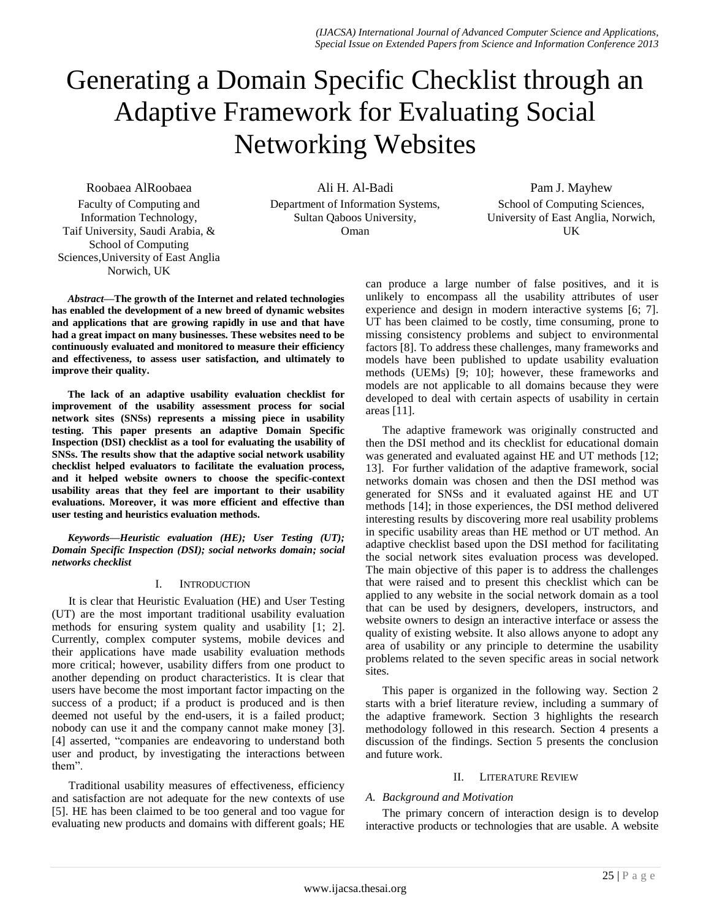# Generating a Domain Specific Checklist through an Adaptive Framework for Evaluating Social Networking Websites

Roobaea AlRoobaea Faculty of Computing and Information Technology, Taif University, Saudi Arabia, & School of Computing Sciences,University of East Anglia Norwich, UK

Ali H. Al-Badi Department of Information Systems, Sultan Qaboos University, Oman

Pam J. Mayhew School of Computing Sciences, University of East Anglia, Norwich, UK

*Abstract***—The growth of the Internet and related technologies has enabled the development of a new breed of dynamic websites and applications that are growing rapidly in use and that have had a great impact on many businesses. These websites need to be continuously evaluated and monitored to measure their efficiency and effectiveness, to assess user satisfaction, and ultimately to improve their quality.** 

**The lack of an adaptive usability evaluation checklist for improvement of the usability assessment process for social network sites (SNSs) represents a missing piece in usability testing. This paper presents an adaptive Domain Specific Inspection (DSI) checklist as a tool for evaluating the usability of SNSs. The results show that the adaptive social network usability checklist helped evaluators to facilitate the evaluation process, and it helped website owners to choose the specific-context usability areas that they feel are important to their usability evaluations. Moreover, it was more efficient and effective than user testing and heuristics evaluation methods.** 

*Keywords—Heuristic evaluation (HE); User Testing (UT); Domain Specific Inspection (DSI); social networks domain; social networks checklist*

# I. INTRODUCTION

It is clear that Heuristic Evaluation (HE) and User Testing (UT) are the most important traditional usability evaluation methods for ensuring system quality and usability [1; 2]. Currently, complex computer systems, mobile devices and their applications have made usability evaluation methods more critical; however, usability differs from one product to another depending on product characteristics. It is clear that users have become the most important factor impacting on the success of a product; if a product is produced and is then deemed not useful by the end-users, it is a failed product; nobody can use it and the company cannot make money [3]. [4] asserted, "companies are endeavoring to understand both user and product, by investigating the interactions between them".

Traditional usability measures of effectiveness, efficiency and satisfaction are not adequate for the new contexts of use [5]. HE has been claimed to be too general and too vague for evaluating new products and domains with different goals; HE

can produce a large number of false positives, and it is unlikely to encompass all the usability attributes of user experience and design in modern interactive systems [6; 7]. UT has been claimed to be costly, time consuming, prone to missing consistency problems and subject to environmental factors [8]. To address these challenges, many frameworks and models have been published to update usability evaluation methods (UEMs) [9; 10]; however, these frameworks and models are not applicable to all domains because they were developed to deal with certain aspects of usability in certain areas [11].

The adaptive framework was originally constructed and then the DSI method and its checklist for educational domain was generated and evaluated against HE and UT methods [12; 13]. For further validation of the adaptive framework, social networks domain was chosen and then the DSI method was generated for SNSs and it evaluated against HE and UT methods [14]; in those experiences, the DSI method delivered interesting results by discovering more real usability problems in specific usability areas than HE method or UT method. An adaptive checklist based upon the DSI method for facilitating the social network sites evaluation process was developed. The main objective of this paper is to address the challenges that were raised and to present this checklist which can be applied to any website in the social network domain as a tool that can be used by designers, developers, instructors, and website owners to design an interactive interface or assess the quality of existing website. It also allows anyone to adopt any area of usability or any principle to determine the usability problems related to the seven specific areas in social network sites.

This paper is organized in the following way. Section 2 starts with a brief literature review, including a summary of the adaptive framework. Section 3 highlights the research methodology followed in this research. Section 4 presents a discussion of the findings. Section 5 presents the conclusion and future work.

#### II. LITERATURE REVIEW

# *A. Background and Motivation*

The primary concern of interaction design is to develop interactive products or technologies that are usable. A website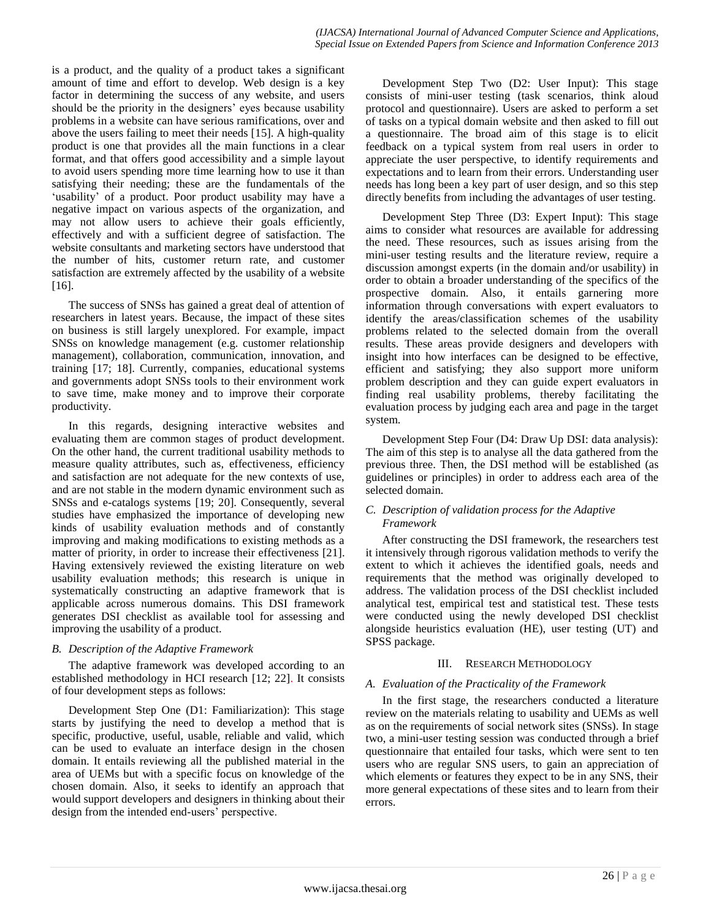is a product, and the quality of a product takes a significant amount of time and effort to develop. Web design is a key factor in determining the success of any website, and users should be the priority in the designers' eyes because usability problems in a website can have serious ramifications, over and above the users failing to meet their needs [15]. A high-quality product is one that provides all the main functions in a clear format, and that offers good accessibility and a simple layout to avoid users spending more time learning how to use it than satisfying their needing; these are the fundamentals of the 'usability' of a product. Poor product usability may have a negative impact on various aspects of the organization, and may not allow users to achieve their goals efficiently, effectively and with a sufficient degree of satisfaction. The website consultants and marketing sectors have understood that the number of hits, customer return rate, and customer satisfaction are extremely affected by the usability of a website [16].

The success of SNSs has gained a great deal of attention of researchers in latest years. Because, the impact of these sites on business is still largely unexplored. For example, impact SNSs on knowledge management (e.g. customer relationship management), collaboration, communication, innovation, and training [17; 18]. Currently, companies, educational systems and governments adopt SNSs tools to their environment work to save time, make money and to improve their corporate productivity.

In this regards, designing interactive websites and evaluating them are common stages of product development. On the other hand, the current traditional usability methods to measure quality attributes, such as, effectiveness, efficiency and satisfaction are not adequate for the new contexts of use, and are not stable in the modern dynamic environment such as SNSs and e-catalogs systems [19; 20]. Consequently, several studies have emphasized the importance of developing new kinds of usability evaluation methods and of constantly improving and making modifications to existing methods as a matter of priority, in order to increase their effectiveness [21]. Having extensively reviewed the existing literature on web usability evaluation methods; this research is unique in systematically constructing an adaptive framework that is applicable across numerous domains. This DSI framework generates DSI checklist as available tool for assessing and improving the usability of a product.

# *B. Description of the Adaptive Framework*

The adaptive framework was developed according to an established methodology in HCI research [12; 22]. It consists of four development steps as follows:

Development Step One (D1: Familiarization): This stage starts by justifying the need to develop a method that is specific, productive, useful, usable, reliable and valid, which can be used to evaluate an interface design in the chosen domain. It entails reviewing all the published material in the area of UEMs but with a specific focus on knowledge of the chosen domain. Also, it seeks to identify an approach that would support developers and designers in thinking about their design from the intended end-users' perspective.

Development Step Two (D2: User Input): This stage consists of mini-user testing (task scenarios, think aloud protocol and questionnaire). Users are asked to perform a set of tasks on a typical domain website and then asked to fill out a questionnaire. The broad aim of this stage is to elicit feedback on a typical system from real users in order to appreciate the user perspective, to identify requirements and expectations and to learn from their errors. Understanding user needs has long been a key part of user design, and so this step directly benefits from including the advantages of user testing.

Development Step Three (D3: Expert Input): This stage aims to consider what resources are available for addressing the need. These resources, such as issues arising from the mini-user testing results and the literature review, require a discussion amongst experts (in the domain and/or usability) in order to obtain a broader understanding of the specifics of the prospective domain. Also, it entails garnering more information through conversations with expert evaluators to identify the areas/classification schemes of the usability problems related to the selected domain from the overall results. These areas provide designers and developers with insight into how interfaces can be designed to be effective, efficient and satisfying; they also support more uniform problem description and they can guide expert evaluators in finding real usability problems, thereby facilitating the evaluation process by judging each area and page in the target system.

Development Step Four (D4: Draw Up DSI: data analysis): The aim of this step is to analyse all the data gathered from the previous three. Then, the DSI method will be established (as guidelines or principles) in order to address each area of the selected domain.

#### *C. Description of validation process for the Adaptive Framework*

After constructing the DSI framework, the researchers test it intensively through rigorous validation methods to verify the extent to which it achieves the identified goals, needs and requirements that the method was originally developed to address. The validation process of the DSI checklist included analytical test, empirical test and statistical test. These tests were conducted using the newly developed DSI checklist alongside heuristics evaluation (HE), user testing (UT) and SPSS package.

# III. RESEARCH METHODOLOGY

#### *A. Evaluation of the Practicality of the Framework*

In the first stage, the researchers conducted a literature review on the materials relating to usability and UEMs as well as on the requirements of social network sites (SNSs). In stage two, a mini-user testing session was conducted through a brief questionnaire that entailed four tasks, which were sent to ten users who are regular SNS users, to gain an appreciation of which elements or features they expect to be in any SNS, their more general expectations of these sites and to learn from their errors.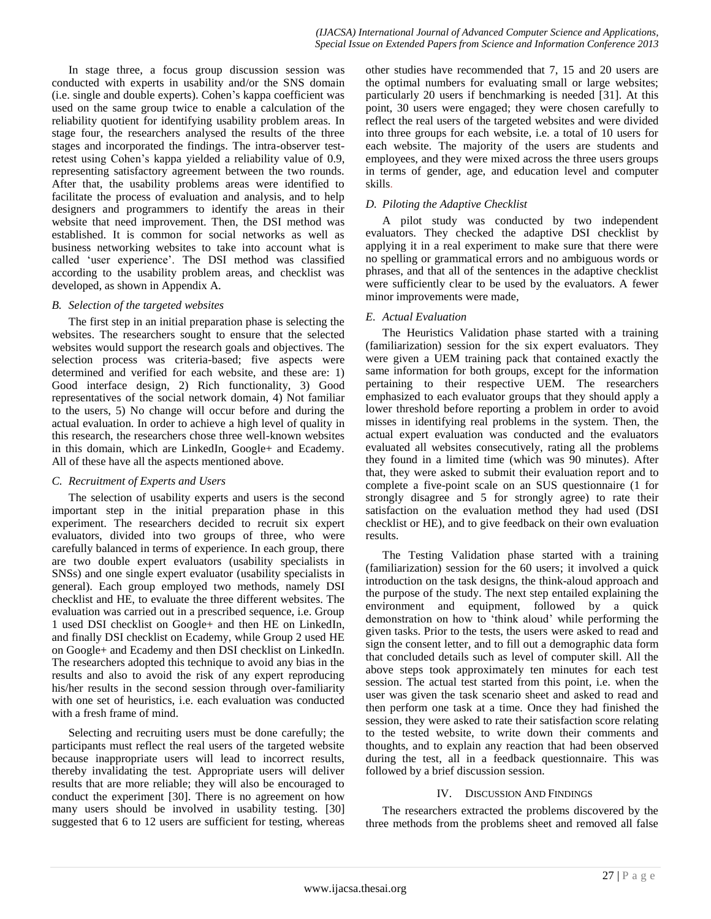In stage three, a focus group discussion session was conducted with experts in usability and/or the SNS domain (i.e. single and double experts). Cohen's kappa coefficient was used on the same group twice to enable a calculation of the reliability quotient for identifying usability problem areas. In stage four, the researchers analysed the results of the three stages and incorporated the findings. The intra-observer testretest using Cohen's kappa yielded a reliability value of 0.9, representing satisfactory agreement between the two rounds. After that, the usability problems areas were identified to facilitate the process of evaluation and analysis, and to help designers and programmers to identify the areas in their website that need improvement. Then, the DSI method was established. It is common for social networks as well as business networking websites to take into account what is called 'user experience'. The DSI method was classified according to the usability problem areas, and checklist was developed, as shown in Appendix A.

#### *B. Selection of the targeted websites*

The first step in an initial preparation phase is selecting the websites. The researchers sought to ensure that the selected websites would support the research goals and objectives. The selection process was criteria-based; five aspects were determined and verified for each website, and these are: 1) Good interface design, 2) Rich functionality, 3) Good representatives of the social network domain, 4) Not familiar to the users, 5) No change will occur before and during the actual evaluation. In order to achieve a high level of quality in this research, the researchers chose three well-known websites in this domain, which are LinkedIn, Google+ and Ecademy. All of these have all the aspects mentioned above.

# *C. Recruitment of Experts and Users*

The selection of usability experts and users is the second important step in the initial preparation phase in this experiment. The researchers decided to recruit six expert evaluators, divided into two groups of three, who were carefully balanced in terms of experience. In each group, there are two double expert evaluators (usability specialists in SNSs) and one single expert evaluator (usability specialists in general). Each group employed two methods, namely DSI checklist and HE, to evaluate the three different websites. The evaluation was carried out in a prescribed sequence, i.e. Group 1 used DSI checklist on Google+ and then HE on LinkedIn, and finally DSI checklist on Ecademy, while Group 2 used HE on Google+ and Ecademy and then DSI checklist on LinkedIn. The researchers adopted this technique to avoid any bias in the results and also to avoid the risk of any expert reproducing his/her results in the second session through over-familiarity with one set of heuristics, i.e. each evaluation was conducted with a fresh frame of mind.

Selecting and recruiting users must be done carefully; the participants must reflect the real users of the targeted website because inappropriate users will lead to incorrect results, thereby invalidating the test. Appropriate users will deliver results that are more reliable; they will also be encouraged to conduct the experiment [30]. There is no agreement on how many users should be involved in usability testing. [30] suggested that 6 to 12 users are sufficient for testing, whereas other studies have recommended that 7, 15 and 20 users are the optimal numbers for evaluating small or large websites; particularly 20 users if benchmarking is needed [31]. At this point, 30 users were engaged; they were chosen carefully to reflect the real users of the targeted websites and were divided into three groups for each website, i.e. a total of 10 users for each website. The majority of the users are students and employees, and they were mixed across the three users groups in terms of gender, age, and education level and computer skills.

# *D. Piloting the Adaptive Checklist*

A pilot study was conducted by two independent evaluators. They checked the adaptive DSI checklist by applying it in a real experiment to make sure that there were no spelling or grammatical errors and no ambiguous words or phrases, and that all of the sentences in the adaptive checklist were sufficiently clear to be used by the evaluators. A fewer minor improvements were made,

# *E. Actual Evaluation*

The Heuristics Validation phase started with a training (familiarization) session for the six expert evaluators. They were given a UEM training pack that contained exactly the same information for both groups, except for the information pertaining to their respective UEM. The researchers emphasized to each evaluator groups that they should apply a lower threshold before reporting a problem in order to avoid misses in identifying real problems in the system. Then, the actual expert evaluation was conducted and the evaluators evaluated all websites consecutively, rating all the problems they found in a limited time (which was 90 minutes). After that, they were asked to submit their evaluation report and to complete a five-point scale on an SUS questionnaire (1 for strongly disagree and 5 for strongly agree) to rate their satisfaction on the evaluation method they had used (DSI checklist or HE), and to give feedback on their own evaluation results.

The Testing Validation phase started with a training (familiarization) session for the 60 users; it involved a quick introduction on the task designs, the think-aloud approach and the purpose of the study. The next step entailed explaining the environment and equipment, followed by a quick demonstration on how to 'think aloud' while performing the given tasks. Prior to the tests, the users were asked to read and sign the consent letter, and to fill out a demographic data form that concluded details such as level of computer skill. All the above steps took approximately ten minutes for each test session. The actual test started from this point, i.e. when the user was given the task scenario sheet and asked to read and then perform one task at a time. Once they had finished the session, they were asked to rate their satisfaction score relating to the tested website, to write down their comments and thoughts, and to explain any reaction that had been observed during the test, all in a feedback questionnaire. This was followed by a brief discussion session.

# IV. DISCUSSION AND FINDINGS

The researchers extracted the problems discovered by the three methods from the problems sheet and removed all false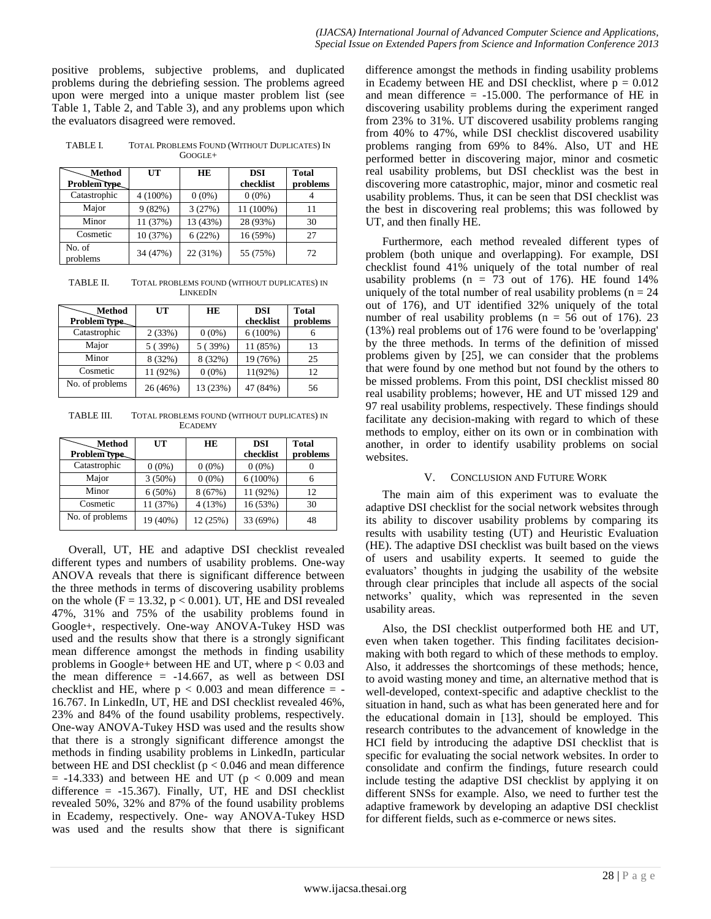positive problems, subjective problems, and duplicated problems during the debriefing session. The problems agreed upon were merged into a unique master problem list (see Table 1, Table 2, and Table 3), and any problems upon which the evaluators disagreed were removed.

TABLE I. TOTAL PROBLEMS FOUND (WITHOUT DUPLICATES) IN GOOGLE+

| . Method<br>Problem type | UT         | <b>HE</b> | <b>DSI</b><br>checklist | <b>Total</b><br>problems |
|--------------------------|------------|-----------|-------------------------|--------------------------|
| Catastrophic             | $4(100\%)$ | $0(0\%)$  | $0(0\%)$                |                          |
| Major                    | 9(82%)     | 3(27%)    | 11 (100%)               | 11                       |
| Minor                    | 11(37%)    | 13 (43%)  | 28 (93%)                | 30                       |
| Cosmetic                 | 10 (37%)   | 6(22%)    | 16 (59%)                | 27                       |
| No. of<br>problems       | 34 (47%)   | 22 (31%)  | 55 (75%)                | 72                       |

TABLE II. TOTAL PROBLEMS FOUND (WITHOUT DUPLICATES) IN LINKEDIN

| <b>Method</b>   | UT       | <b>HE</b> | <b>DSI</b> | Total    |
|-----------------|----------|-----------|------------|----------|
| Problem type    |          |           | checklist  | problems |
| Catastrophic    | 2(33%)   | $0(0\%)$  | $6(100\%)$ | 6        |
| Major           | 5(39%)   | 5(39%)    | 11 (85%)   | 13       |
| Minor           | 8 (32%)  | 8 (32%)   | 19 (76%)   | 25       |
| Cosmetic        | 11 (92%) | $0(0\%)$  | $11(92\%)$ | 12       |
| No. of problems | 26(46%)  | 13 (23%)  | 47 (84%)   | 56       |

TABLE III. TOTAL PROBLEMS FOUND (WITHOUT DUPLICATES) IN **ECADEMY** 

| Method<br>Problem type | UT        | <b>HE</b> | <b>DSI</b><br>checklist | <b>Total</b><br>problems |
|------------------------|-----------|-----------|-------------------------|--------------------------|
| Catastrophic           | $0(0\%)$  | $0(0\%)$  | $0(0\%)$                |                          |
| Major                  | $3(50\%)$ | $0(0\%)$  | $6(100\%)$              |                          |
| Minor                  | $6(50\%)$ | 8(67%)    | 11 (92%)                | 12                       |
| Cosmetic               | 11 (37%)  | 4(13%)    | 16 (53%)                | 30                       |
| No. of problems        | 19 (40%)  | 12 (25%)  | 33 (69%)                | 48                       |

Overall, UT, HE and adaptive DSI checklist revealed different types and numbers of usability problems. One-way ANOVA reveals that there is significant difference between the three methods in terms of discovering usability problems on the whole  $(F = 13.32, p < 0.001)$ . UT, HE and DSI revealed 47%, 31% and 75% of the usability problems found in Google+, respectively. One-way ANOVA-Tukey HSD was used and the results show that there is a strongly significant mean difference amongst the methods in finding usability problems in Google+ between HE and UT, where  $p < 0.03$  and the mean difference  $= -14.667$ , as well as between DSI checklist and HE, where  $p < 0.003$  and mean difference = -16.767. In LinkedIn, UT, HE and DSI checklist revealed 46%, 23% and 84% of the found usability problems, respectively. One-way ANOVA-Tukey HSD was used and the results show that there is a strongly significant difference amongst the methods in finding usability problems in LinkedIn, particular between HE and DSI checklist (p < 0.046 and mean difference  $= -14.333$ ) and between HE and UT ( $p < 0.009$  and mean difference =  $-15.367$ ). Finally, UT, HE and DSI checklist revealed 50%, 32% and 87% of the found usability problems in Ecademy, respectively. One- way ANOVA-Tukey HSD was used and the results show that there is significant difference amongst the methods in finding usability problems in Ecademy between HE and DSI checklist, where  $p = 0.012$ and mean difference  $= -15.000$ . The performance of HE in discovering usability problems during the experiment ranged from 23% to 31%. UT discovered usability problems ranging from 40% to 47%, while DSI checklist discovered usability problems ranging from 69% to 84%. Also, UT and HE performed better in discovering major, minor and cosmetic real usability problems, but DSI checklist was the best in discovering more catastrophic, major, minor and cosmetic real usability problems. Thus, it can be seen that DSI checklist was the best in discovering real problems; this was followed by UT, and then finally HE.

Furthermore, each method revealed different types of problem (both unique and overlapping). For example, DSI checklist found 41% uniquely of the total number of real usability problems ( $n = 73$  out of 176). HE found 14% uniquely of the total number of real usability problems ( $n = 24$ ) out of 176), and UT identified 32% uniquely of the total number of real usability problems ( $n = 56$  out of 176). 23 (13%) real problems out of 176 were found to be 'overlapping' by the three methods. In terms of the definition of missed problems given by [25], we can consider that the problems that were found by one method but not found by the others to be missed problems. From this point, DSI checklist missed 80 real usability problems; however, HE and UT missed 129 and 97 real usability problems, respectively. These findings should facilitate any decision-making with regard to which of these methods to employ, either on its own or in combination with another, in order to identify usability problems on social websites.

# V. CONCLUSION AND FUTURE WORK

The main aim of this experiment was to evaluate the adaptive DSI checklist for the social network websites through its ability to discover usability problems by comparing its results with usability testing (UT) and Heuristic Evaluation (HE). The adaptive DSI checklist was built based on the views of users and usability experts. It seemed to guide the evaluators' thoughts in judging the usability of the website through clear principles that include all aspects of the social networks' quality, which was represented in the seven usability areas.

Also, the DSI checklist outperformed both HE and UT, even when taken together. This finding facilitates decisionmaking with both regard to which of these methods to employ. Also, it addresses the shortcomings of these methods; hence, to avoid wasting money and time, an alternative method that is well-developed, context-specific and adaptive checklist to the situation in hand, such as what has been generated here and for the educational domain in [13], should be employed. This research contributes to the advancement of knowledge in the HCI field by introducing the adaptive DSI checklist that is specific for evaluating the social network websites. In order to consolidate and confirm the findings, future research could include testing the adaptive DSI checklist by applying it on different SNSs for example. Also, we need to further test the adaptive framework by developing an adaptive DSI checklist for different fields, such as e-commerce or news sites.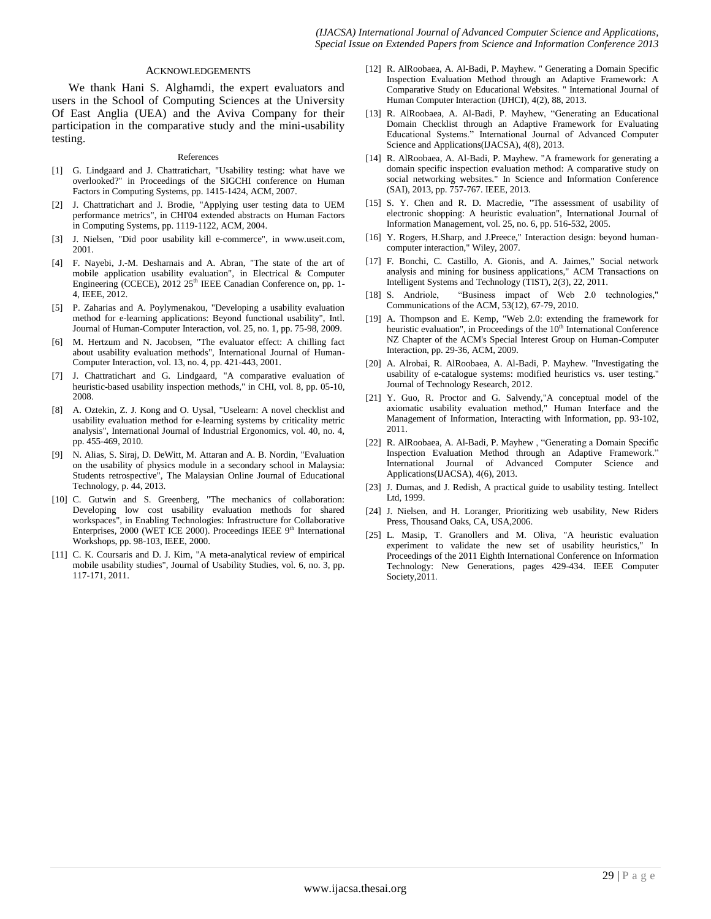#### ACKNOWLEDGEMENTS

We thank Hani S. Alghamdi, the expert evaluators and users in the School of Computing Sciences at the University Of East Anglia (UEA) and the Aviva Company for their participation in the comparative study and the mini-usability testing.

#### References

- [1] G. Lindgaard and J. Chattratichart, "Usability testing: what have we overlooked?" in Proceedings of the SIGCHI conference on Human Factors in Computing Systems, pp. 1415-1424, ACM, 2007.
- [2] J. Chattratichart and J. Brodie, "Applying user testing data to UEM performance metrics", in CHI'04 extended abstracts on Human Factors in Computing Systems, pp. 1119-1122, ACM, 2004.
- [3] J. Nielsen, "Did poor usability kill e-commerce", in www.useit.com, 2001.
- [4] F. Nayebi, J.-M. Desharnais and A. Abran, "The state of the art of mobile application usability evaluation", in Electrical & Computer Engineering (CCECE), 2012 25<sup>th</sup> IEEE Canadian Conference on, pp. 1-4, IEEE, 2012.
- [5] P. Zaharias and A. Poylymenakou, "Developing a usability evaluation method for e-learning applications: Beyond functional usability", Intl. Journal of Human-Computer Interaction, vol. 25, no. 1, pp. 75-98, 2009.
- [6] M. Hertzum and N. Jacobsen, "The evaluator effect: A chilling fact about usability evaluation methods", International Journal of Human-Computer Interaction, vol. 13, no. 4, pp. 421-443, 2001.
- [7] J. Chattratichart and G. Lindgaard, "A comparative evaluation of heuristic-based usability inspection methods," in CHI, vol. 8, pp. 05-10, 2008.
- [8] A. Oztekin, Z. J. Kong and O. Uysal, "Uselearn: A novel checklist and usability evaluation method for e-learning systems by criticality metric analysis", International Journal of Industrial Ergonomics, vol. 40, no. 4, pp. 455-469, 2010.
- [9] N. Alias, S. Siraj, D. DeWitt, M. Attaran and A. B. Nordin, "Evaluation on the usability of physics module in a secondary school in Malaysia: Students retrospective", The Malaysian Online Journal of Educational Technology, p. 44, 2013.
- [10] C. Gutwin and S. Greenberg, "The mechanics of collaboration: Developing low cost usability evaluation methods for shared workspaces", in Enabling Technologies: Infrastructure for Collaborative Enterprises, 2000 (WET ICE 2000). Proceedings IEEE  $9<sup>th</sup>$  International Workshops, pp. 98-103, IEEE, 2000.
- [11] C. K. Coursaris and D. J. Kim, "A meta-analytical review of empirical mobile usability studies", Journal of Usability Studies, vol. 6, no. 3, pp. 117-171, 2011.
- [12] R. AlRoobaea, A. Al-Badi, P. Mayhew. '' Generating a Domain Specific Inspection Evaluation Method through an Adaptive Framework: A Comparative Study on Educational Websites. '' International Journal of Human Computer Interaction (IJHCI), 4(2), 88, 2013.
- [13] R. AlRoobaea, A. Al-Badi, P. Mayhew, "Generating an Educational Domain Checklist through an Adaptive Framework for Evaluating Educational Systems." International Journal of Advanced Computer Science and Applications(IJACSA), 4(8), 2013.
- [14] R. AlRoobaea, A. Al-Badi, P. Mayhew. "A framework for generating a domain specific inspection evaluation method: A comparative study on social networking websites." In Science and Information Conference (SAI), 2013, pp. 757-767. IEEE, 2013.
- [15] S. Y. Chen and R. D. Macredie, "The assessment of usability of electronic shopping: A heuristic evaluation", International Journal of Information Management, vol. 25, no. 6, pp. 516-532, 2005.
- [16] Y. Rogers, H.Sharp, and J.Preece," Interaction design: beyond humancomputer interaction," Wiley, 2007.
- [17] F. Bonchi, C. Castillo, A. Gionis, and A. Jaimes," Social network analysis and mining for business applications," ACM Transactions on Intelligent Systems and Technology (TIST), 2(3), 22, 2011.
- [18] S. Andriole, "Business impact of Web 2.0 technologies," Communications of the ACM, 53(12), 67-79, 2010.
- [19] A. Thompson and E. Kemp, "Web 2.0: extending the framework for heuristic evaluation", in Proceedings of the  $10<sup>th</sup>$  International Conference NZ Chapter of the ACM's Special Interest Group on Human-Computer Interaction, pp. 29-36, ACM, 2009.
- [20] A. Alrobai, R. AlRoobaea, A. Al-Badi, P. Mayhew. ''Investigating the usability of e-catalogue systems: modified heuristics vs. user testing.'' Journal of Technology Research, 2012.
- [21] Y. Guo, R. Proctor and G. Salvendy,"A conceptual model of the axiomatic usability evaluation method," Human Interface and the Management of Information, Interacting with Information, pp. 93-102, 2011.
- [22] R. AlRoobaea, A. Al-Badi, P. Mayhew , "Generating a Domain Specific Inspection Evaluation Method through an Adaptive Framework.' International Journal of Advanced Computer Science and Applications(IJACSA), 4(6), 2013.
- [23] J. Dumas, and J. Redish, A practical guide to usability testing. Intellect Ltd, 1999.
- [24] J. Nielsen, and H. Loranger, Prioritizing web usability, New Riders Press, Thousand Oaks, CA, USA,2006.
- [25] L. Masip, T. Granollers and M. Oliva, "A heuristic evaluation experiment to validate the new set of usability heuristics," In Proceedings of the 2011 Eighth International Conference on Information Technology: New Generations, pages 429-434. IEEE Computer Society,2011*.*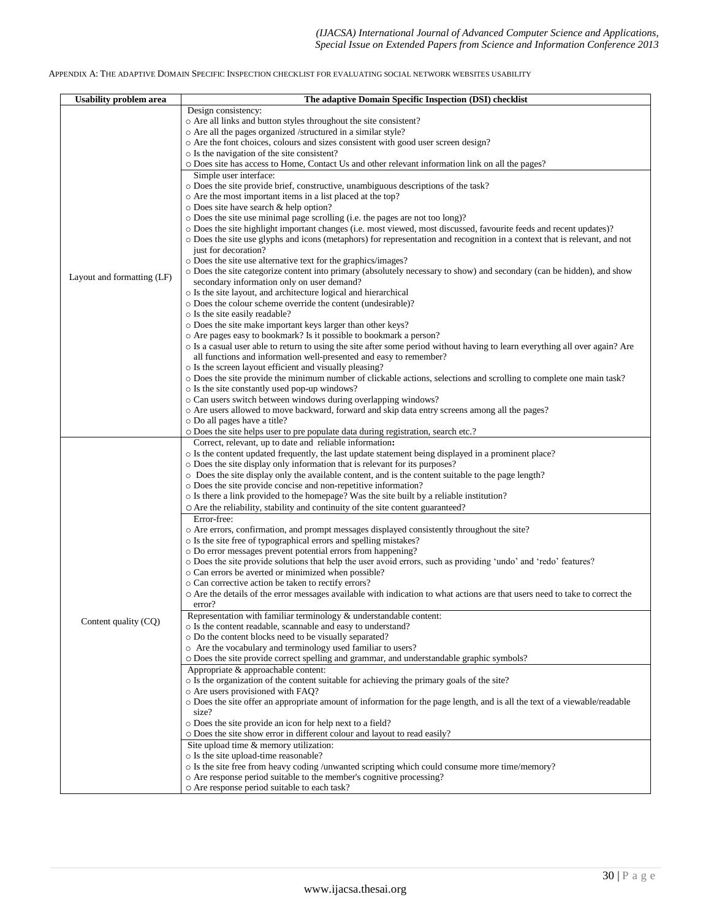#### APPENDIX A: THE ADAPTIVE DOMAIN SPECIFIC INSPECTION CHECKLIST FOR EVALUATING SOCIAL NETWORK WEBSITES USABILITY

| <b>Usability problem area</b> | The adaptive Domain Specific Inspection (DSI) checklist                                                                                                                            |
|-------------------------------|------------------------------------------------------------------------------------------------------------------------------------------------------------------------------------|
|                               | Design consistency:                                                                                                                                                                |
|                               | o Are all links and button styles throughout the site consistent?                                                                                                                  |
|                               | o Are all the pages organized /structured in a similar style?                                                                                                                      |
|                               | o Are the font choices, colours and sizes consistent with good user screen design?                                                                                                 |
|                               | o Is the navigation of the site consistent?                                                                                                                                        |
|                               | O Does site has access to Home, Contact Us and other relevant information link on all the pages?                                                                                   |
|                               | Simple user interface:                                                                                                                                                             |
|                               | o Does the site provide brief, constructive, unambiguous descriptions of the task?                                                                                                 |
|                               | o Are the most important items in a list placed at the top?                                                                                                                        |
|                               | $\circ$ Does site have search & help option?<br>o Does the site use minimal page scrolling (i.e. the pages are not too long)?                                                      |
|                               | o Does the site highlight important changes (i.e. most viewed, most discussed, favourite feeds and recent updates)?                                                                |
|                               | o Does the site use glyphs and icons (metaphors) for representation and recognition in a context that is relevant, and not                                                         |
|                               | just for decoration?                                                                                                                                                               |
|                               | o Does the site use alternative text for the graphics/images?                                                                                                                      |
|                               | o Does the site categorize content into primary (absolutely necessary to show) and secondary (can be hidden), and show                                                             |
| Layout and formatting (LF)    | secondary information only on user demand?                                                                                                                                         |
|                               | o Is the site layout, and architecture logical and hierarchical                                                                                                                    |
|                               | o Does the colour scheme override the content (undesirable)?                                                                                                                       |
|                               | o Is the site easily readable?                                                                                                                                                     |
|                               | o Does the site make important keys larger than other keys?                                                                                                                        |
|                               | o Are pages easy to bookmark? Is it possible to bookmark a person?                                                                                                                 |
|                               | o Is a casual user able to return to using the site after some period without having to learn everything all over again? Are                                                       |
|                               | all functions and information well-presented and easy to remember?                                                                                                                 |
|                               | o Is the screen layout efficient and visually pleasing?<br>o Does the site provide the minimum number of clickable actions, selections and scrolling to complete one main task?    |
|                               | o Is the site constantly used pop-up windows?                                                                                                                                      |
|                               | o Can users switch between windows during overlapping windows?                                                                                                                     |
|                               | o Are users allowed to move backward, forward and skip data entry screens among all the pages?                                                                                     |
|                               | o Do all pages have a title?                                                                                                                                                       |
|                               | o Does the site helps user to pre populate data during registration, search etc.?                                                                                                  |
|                               | Correct, relevant, up to date and reliable information:                                                                                                                            |
|                               | o Is the content updated frequently, the last update statement being displayed in a prominent place?                                                                               |
|                               | o Does the site display only information that is relevant for its purposes?                                                                                                        |
|                               | $\circ$ Does the site display only the available content, and is the content suitable to the page length?                                                                          |
|                               | o Does the site provide concise and non-repetitive information?                                                                                                                    |
|                               | $\circ$ Is there a link provided to the homepage? Was the site built by a reliable institution?<br>O Are the reliability, stability and continuity of the site content guaranteed? |
|                               | Error-free:                                                                                                                                                                        |
|                               | $\circ$ Are errors, confirmation, and prompt messages displayed consistently throughout the site?                                                                                  |
|                               | o Is the site free of typographical errors and spelling mistakes?                                                                                                                  |
|                               | o Do error messages prevent potential errors from happening?                                                                                                                       |
|                               | o Does the site provide solutions that help the user avoid errors, such as providing 'undo' and 'redo' features?                                                                   |
|                               | o Can errors be averted or minimized when possible?                                                                                                                                |
|                               | o Can corrective action be taken to rectify errors?                                                                                                                                |
|                               | O Are the details of the error messages available with indication to what actions are that users need to take to correct the                                                       |
|                               | error?                                                                                                                                                                             |
| Content quality (CQ)          | Representation with familiar terminology & understandable content:                                                                                                                 |
|                               | o Is the content readable, scannable and easy to understand?<br>o Do the content blocks need to be visually separated?                                                             |
|                               | o Are the vocabulary and terminology used familiar to users?                                                                                                                       |
|                               | O Does the site provide correct spelling and grammar, and understandable graphic symbols?                                                                                          |
|                               | Appropriate & approachable content:                                                                                                                                                |
|                               | $\circ$ Is the organization of the content suitable for achieving the primary goals of the site?                                                                                   |
|                               | o Are users provisioned with FAQ?                                                                                                                                                  |
|                               | O Does the site offer an appropriate amount of information for the page length, and is all the text of a viewable/readable                                                         |
|                               | size?                                                                                                                                                                              |
|                               | o Does the site provide an icon for help next to a field?                                                                                                                          |
|                               | O Does the site show error in different colour and layout to read easily?                                                                                                          |
|                               | Site upload time & memory utilization:                                                                                                                                             |
|                               | o Is the site upload-time reasonable?                                                                                                                                              |
|                               | o Is the site free from heavy coding /unwanted scripting which could consume more time/memory?                                                                                     |
|                               | o Are response period suitable to the member's cognitive processing?<br>o Are response period suitable to each task?                                                               |
|                               |                                                                                                                                                                                    |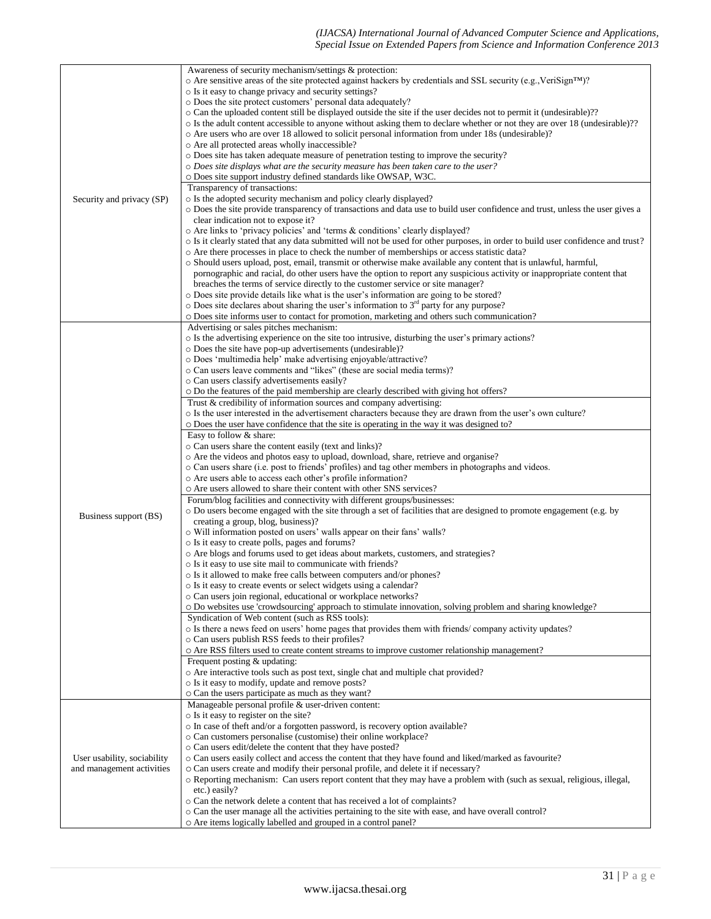|                                                          | Awareness of security mechanism/settings & protection:                                                                             |
|----------------------------------------------------------|------------------------------------------------------------------------------------------------------------------------------------|
|                                                          | $\circ$ Are sensitive areas of the site protected against hackers by credentials and SSL security (e.g., VeriSign <sup>TM</sup> )? |
|                                                          | o Is it easy to change privacy and security settings?                                                                              |
|                                                          | o Does the site protect customers' personal data adequately?                                                                       |
|                                                          | o Can the uploaded content still be displayed outside the site if the user decides not to permit it (undesirable)??                |
|                                                          | o Is the adult content accessible to anyone without asking them to declare whether or not they are over 18 (undesirable)??         |
|                                                          | o Are users who are over 18 allowed to solicit personal information from under 18s (undesirable)?                                  |
|                                                          | o Are all protected areas wholly inaccessible?                                                                                     |
|                                                          | $\circ$ Does site has taken adequate measure of penetration testing to improve the security?                                       |
|                                                          | o Does site displays what are the security measure has been taken care to the user?                                                |
|                                                          | o Does site support industry defined standards like OWSAP, W3C.                                                                    |
|                                                          | Transparency of transactions:                                                                                                      |
|                                                          |                                                                                                                                    |
| Security and privacy (SP)                                | o Is the adopted security mechanism and policy clearly displayed?                                                                  |
|                                                          | o Does the site provide transparency of transactions and data use to build user confidence and trust, unless the user gives a      |
|                                                          | clear indication not to expose it?                                                                                                 |
|                                                          | o Are links to 'privacy policies' and 'terms & conditions' clearly displayed?                                                      |
|                                                          | o Is it clearly stated that any data submitted will not be used for other purposes, in order to build user confidence and trust?   |
|                                                          | o Are there processes in place to check the number of memberships or access statistic data?                                        |
|                                                          | o Should users upload, post, email, transmit or otherwise make available any content that is unlawful, harmful,                    |
|                                                          | pornographic and racial, do other users have the option to report any suspicious activity or inappropriate content that            |
|                                                          | breaches the terms of service directly to the customer service or site manager?                                                    |
|                                                          | o Does site provide details like what is the user's information are going to be stored?                                            |
|                                                          | o Does site declares about sharing the user's information to 3 <sup>rd</sup> party for any purpose?                                |
|                                                          | O Does site informs user to contact for promotion, marketing and others such communication?                                        |
|                                                          | Advertising or sales pitches mechanism:                                                                                            |
|                                                          | o Is the advertising experience on the site too intrusive, disturbing the user's primary actions?                                  |
|                                                          | o Does the site have pop-up advertisements (undesirable)?                                                                          |
|                                                          | o Does 'multimedia help' make advertising enjoyable/attractive?                                                                    |
|                                                          | o Can users leave comments and "likes" (these are social media terms)?                                                             |
|                                                          |                                                                                                                                    |
|                                                          | o Can users classify advertisements easily?                                                                                        |
|                                                          | o Do the features of the paid membership are clearly described with giving hot offers?                                             |
|                                                          | Trust & credibility of information sources and company advertising:                                                                |
|                                                          | o Is the user interested in the advertisement characters because they are drawn from the user's own culture?                       |
|                                                          | o Does the user have confidence that the site is operating in the way it was designed to?                                          |
|                                                          | Easy to follow & share:                                                                                                            |
|                                                          | o Can users share the content easily (text and links)?                                                                             |
|                                                          | o Are the videos and photos easy to upload, download, share, retrieve and organise?                                                |
|                                                          | ○ Can users share (i.e. post to friends' profiles) and tag other members in photographs and videos.                                |
|                                                          | o Are users able to access each other's profile information?                                                                       |
|                                                          | O Are users allowed to share their content with other SNS services?                                                                |
|                                                          | Forum/blog facilities and connectivity with different groups/businesses:                                                           |
|                                                          | o Do users become engaged with the site through a set of facilities that are designed to promote engagement (e.g. by               |
| Business support (BS)                                    | creating a group, blog, business)?                                                                                                 |
|                                                          |                                                                                                                                    |
|                                                          | o Will information posted on users' walls appear on their fans' walls?                                                             |
|                                                          | o Is it easy to create polls, pages and forums?                                                                                    |
|                                                          | o Are blogs and forums used to get ideas about markets, customers, and strategies?                                                 |
|                                                          | o Is it easy to use site mail to communicate with friends?                                                                         |
|                                                          | o Is it allowed to make free calls between computers and/or phones?                                                                |
|                                                          | o Is it easy to create events or select widgets using a calendar?                                                                  |
|                                                          | o Can users join regional, educational or workplace networks?                                                                      |
|                                                          | O Do websites use 'crowdsourcing' approach to stimulate innovation, solving problem and sharing knowledge?                         |
|                                                          | Syndication of Web content (such as RSS tools):                                                                                    |
|                                                          | o Is there a news feed on users' home pages that provides them with friends/company activity updates?                              |
|                                                          | o Can users publish RSS feeds to their profiles?                                                                                   |
|                                                          | o Are RSS filters used to create content streams to improve customer relationship management?                                      |
|                                                          | Frequent posting & updating:                                                                                                       |
|                                                          | o Are interactive tools such as post text, single chat and multiple chat provided?                                                 |
|                                                          | o Is it easy to modify, update and remove posts?                                                                                   |
|                                                          | o Can the users participate as much as they want?                                                                                  |
|                                                          | Manageable personal profile & user-driven content:                                                                                 |
| User usability, sociability<br>and management activities | o Is it easy to register on the site?                                                                                              |
|                                                          |                                                                                                                                    |
|                                                          | o In case of theft and/or a forgotten password, is recovery option available?                                                      |
|                                                          | o Can customers personalise (customise) their online workplace?                                                                    |
|                                                          | o Can users edit/delete the content that they have posted?                                                                         |
|                                                          | o Can users easily collect and access the content that they have found and liked/marked as favourite?                              |
|                                                          | o Can users create and modify their personal profile, and delete it if necessary?                                                  |
|                                                          | o Reporting mechanism: Can users report content that they may have a problem with (such as sexual, religious, illegal,             |
|                                                          | etc.) easily?                                                                                                                      |
|                                                          | o Can the network delete a content that has received a lot of complaints?                                                          |
|                                                          | o Can the user manage all the activities pertaining to the site with ease, and have overall control?                               |
|                                                          | o Are items logically labelled and grouped in a control panel?                                                                     |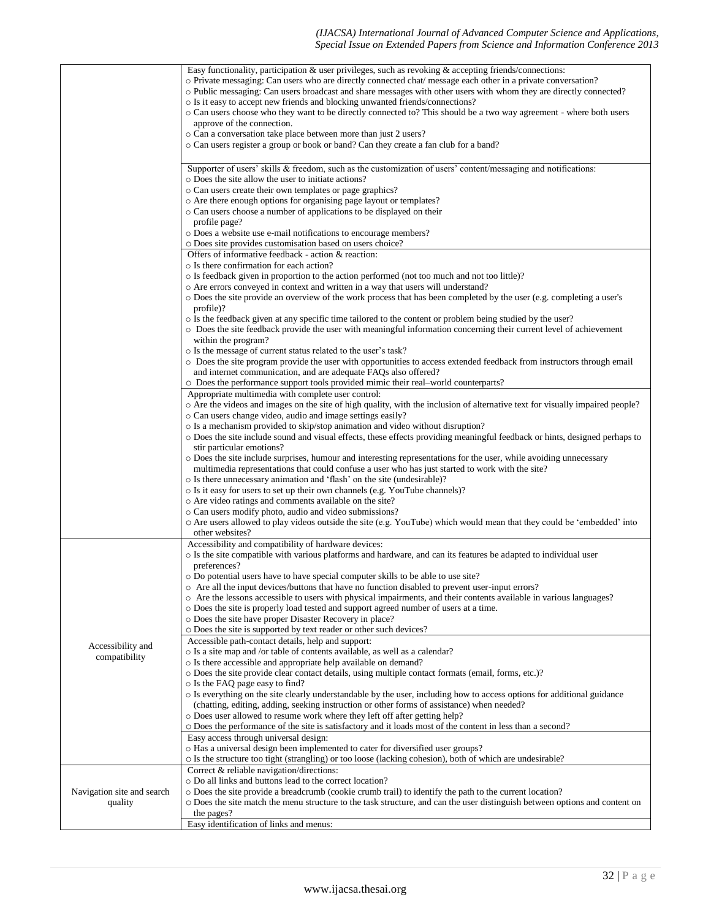|                                       | Easy functionality, participation $\&$ user privileges, such as revoking $\&$ accepting friends/connections:<br>o Private messaging: Can users who are directly connected chat/message each other in a private conversation?<br>o Public messaging: Can users broadcast and share messages with other users with whom they are directly connected?<br>o Is it easy to accept new friends and blocking unwanted friends/connections?<br>$\circ$ Can users choose who they want to be directly connected to? This should be a two way agreement - where both users<br>approve of the connection.<br>o Can a conversation take place between more than just 2 users?<br>o Can users register a group or book or band? Can they create a fan club for a band? |
|---------------------------------------|-----------------------------------------------------------------------------------------------------------------------------------------------------------------------------------------------------------------------------------------------------------------------------------------------------------------------------------------------------------------------------------------------------------------------------------------------------------------------------------------------------------------------------------------------------------------------------------------------------------------------------------------------------------------------------------------------------------------------------------------------------------|
|                                       | Supporter of users' skills $\&$ freedom, such as the customization of users' content/messaging and notifications:<br>o Does the site allow the user to initiate actions?<br>o Can users create their own templates or page graphics?<br>o Are there enough options for organising page layout or templates?<br>o Can users choose a number of applications to be displayed on their<br>profile page?<br>o Does a website use e-mail notifications to encourage members?                                                                                                                                                                                                                                                                                   |
|                                       | o Does site provides customisation based on users choice?<br>Offers of informative feedback - action & reaction:<br>o Is there confirmation for each action?<br>o Is feedback given in proportion to the action performed (not too much and not too little)?<br>o Are errors conveyed in context and written in a way that users will understand?<br>o Does the site provide an overview of the work process that has been completed by the user (e.g. completing a user's<br>profile)?<br>$\circ$ Is the feedback given at any specific time tailored to the content or problem being studied by the user?                                                                                                                                               |
|                                       | • Does the site feedback provide the user with meaningful information concerning their current level of achievement<br>within the program?<br>o Is the message of current status related to the user's task?<br>O Does the site program provide the user with opportunities to access extended feedback from instructors through email<br>and internet communication, and are adequate FAQs also offered?<br>o Does the performance support tools provided mimic their real-world counterparts?<br>Appropriate multimedia with complete user control:                                                                                                                                                                                                     |
|                                       | o Are the videos and images on the site of high quality, with the inclusion of alternative text for visually impaired people?<br>o Can users change video, audio and image settings easily?<br>o Is a mechanism provided to skip/stop animation and video without disruption?<br>o Does the site include sound and visual effects, these effects providing meaningful feedback or hints, designed perhaps to<br>stir particular emotions?<br>o Does the site include surprises, humour and interesting representations for the user, while avoiding unnecessary                                                                                                                                                                                           |
|                                       | multimedia representations that could confuse a user who has just started to work with the site?<br>o Is there unnecessary animation and 'flash' on the site (undesirable)?<br>o Is it easy for users to set up their own channels (e.g. YouTube channels)?<br>o Are video ratings and comments available on the site?<br>o Can users modify photo, audio and video submissions?<br>○ Are users allowed to play videos outside the site (e.g. YouTube) which would mean that they could be 'embedded' into<br>other websites?                                                                                                                                                                                                                             |
|                                       | Accessibility and compatibility of hardware devices:<br>o Is the site compatible with various platforms and hardware, and can its features be adapted to individual user<br>preferences?<br>o Do potential users have to have special computer skills to be able to use site?<br>o Are all the input devices/buttons that have no function disabled to prevent user-input errors?<br>o Are the lessons accessible to users with physical impairments, and their contents available in various languages?<br>o Does the site is properly load tested and support agreed number of users at a time.<br>o Does the site have proper Disaster Recovery in place?<br>o Does the site is supported by text reader or other such devices?                        |
| Accessibility and<br>compatibility    | Accessible path-contact details, help and support:<br>o Is a site map and /or table of contents available, as well as a calendar?<br>o Is there accessible and appropriate help available on demand?<br>o Does the site provide clear contact details, using multiple contact formats (email, forms, etc.)?<br>o Is the FAQ page easy to find?<br>o Is everything on the site clearly understandable by the user, including how to access options for additional guidance<br>(chatting, editing, adding, seeking instruction or other forms of assistance) when needed?<br>o Does user allowed to resume work where they left off after getting help?                                                                                                     |
|                                       | o Does the performance of the site is satisfactory and it loads most of the content in less than a second?<br>Easy access through universal design:<br>o Has a universal design been implemented to cater for diversified user groups?<br>o Is the structure too tight (strangling) or too loose (lacking cohesion), both of which are undesirable?                                                                                                                                                                                                                                                                                                                                                                                                       |
| Navigation site and search<br>quality | Correct & reliable navigation/directions:<br>o Do all links and buttons lead to the correct location?<br>o Does the site provide a breadcrumb (cookie crumb trail) to identify the path to the current location?<br>O Does the site match the menu structure to the task structure, and can the user distinguish between options and content on<br>the pages?<br>Easy identification of links and menus:                                                                                                                                                                                                                                                                                                                                                  |
|                                       |                                                                                                                                                                                                                                                                                                                                                                                                                                                                                                                                                                                                                                                                                                                                                           |